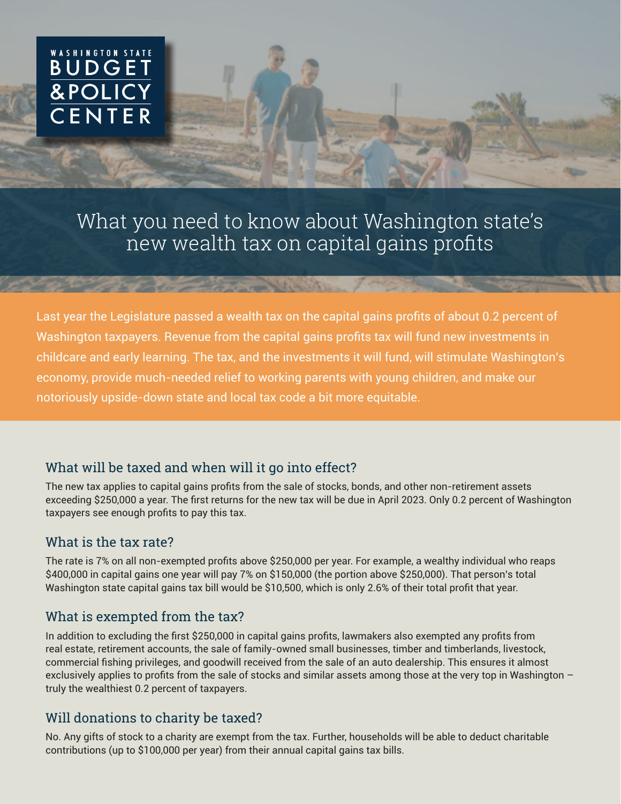# WASHINGTON STATE **BUDGE** & POLIC

What you need to know about Washington state's new wealth tax on capital gains profits

Last year the Legislature passed a wealth tax on the capital gains profits of about 0.2 percent of Washington taxpayers. Revenue from the capital gains profits tax will fund new investments in childcare and early learning. The tax, and the investments it will fund, will stimulate Washington's economy, provide much-needed relief to working parents with young children, and make our notoriously upside-down state and local tax code a bit more equitable.

## What will be taxed and when will it go into effect?

The new tax applies to capital gains profits from the sale of stocks, bonds, and other non-retirement assets exceeding \$250,000 a year. The first returns for the new tax will be due in April 2023. Only 0.2 percent of Washington taxpayers see enough profits to pay this tax.

#### What is the tax rate?

The rate is 7% on all non-exempted profits above \$250,000 per year. For example, a wealthy individual who reaps \$400,000 in capital gains one year will pay 7% on \$150,000 (the portion above \$250,000). That person's total Washington state capital gains tax bill would be \$10,500, which is only 2.6% of their total profit that year.

## What is exempted from the tax?

In addition to excluding the first \$250,000 in capital gains profits, lawmakers also exempted any profits from real estate, retirement accounts, the sale of family-owned small businesses, timber and timberlands, livestock, commercial fishing privileges, and goodwill received from the sale of an auto dealership. This ensures it almost exclusively applies to profits from the sale of stocks and similar assets among those at the very top in Washington – truly the wealthiest 0.2 percent of taxpayers.

## Will donations to charity be taxed?

No. Any gifts of stock to a charity are exempt from the tax. Further, households will be able to deduct charitable contributions (up to \$100,000 per year) from their annual capital gains tax bills.